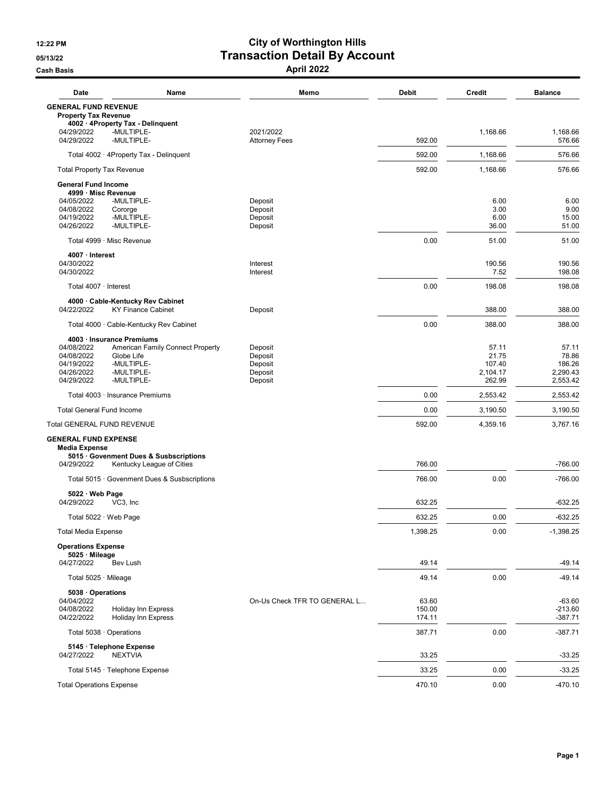## 12:22 PM City of Worthington Hills 05/13/22 **Transaction Detail By Account** Cash Basis April 2022

| Date                                                                                            | Name                                                                                     | Memo                                                | <b>Debit</b>              | <b>Credit</b>                                  | <b>Balance</b>                                   |
|-------------------------------------------------------------------------------------------------|------------------------------------------------------------------------------------------|-----------------------------------------------------|---------------------------|------------------------------------------------|--------------------------------------------------|
| <b>GENERAL FUND REVENUE</b><br><b>Property Tax Revenue</b>                                      |                                                                                          |                                                     |                           |                                                |                                                  |
| 4002 · 4Property Tax - Delinquent<br>04/29/2022<br>04/29/2022                                   | -MULTIPLE-<br>-MULTIPLE-                                                                 | 2021/2022<br><b>Attorney Fees</b>                   | 592.00                    | 1,168.66                                       | 1,168.66<br>576.66                               |
|                                                                                                 | Total 4002 · 4Property Tax - Delinquent                                                  |                                                     | 592.00                    | 1.168.66                                       | 576.66                                           |
| <b>Total Property Tax Revenue</b>                                                               |                                                                                          |                                                     | 592.00                    | 1,168.66                                       | 576.66                                           |
| <b>General Fund Income</b>                                                                      |                                                                                          |                                                     |                           |                                                |                                                  |
| 4999 · Misc Revenue<br>04/05/2022<br>04/08/2022<br>Cororge<br>04/19/2022<br>04/26/2022          | -MULTIPLE-<br>-MULTIPLE-<br>-MULTIPLE-                                                   | Deposit<br>Deposit<br>Deposit<br>Deposit            |                           | 6.00<br>3.00<br>6.00<br>36.00                  | 6.00<br>9.00<br>15.00<br>51.00                   |
| Total 4999 · Misc Revenue                                                                       |                                                                                          |                                                     | 0.00                      | 51.00                                          | 51.00                                            |
| 4007 · Interest<br>04/30/2022<br>04/30/2022                                                     |                                                                                          | Interest<br>Interest                                |                           | 190.56<br>7.52                                 | 190.56<br>198.08                                 |
| Total 4007 · Interest                                                                           |                                                                                          |                                                     | 0.00                      | 198.08                                         | 198.08                                           |
| 04/22/2022                                                                                      | 4000 Cable-Kentucky Rev Cabinet<br><b>KY Finance Cabinet</b>                             | Deposit                                             |                           | 388.00                                         | 388.00                                           |
|                                                                                                 | Total 4000 · Cable-Kentucky Rev Cabinet                                                  |                                                     | 0.00                      | 388.00                                         | 388.00                                           |
| 4003 · Insurance Premiums<br>04/08/2022<br>04/08/2022<br>04/19/2022<br>04/26/2022<br>04/29/2022 | American Family Connect Property<br>Globe Life<br>-MULTIPLE-<br>-MULTIPLE-<br>-MULTIPLE- | Deposit<br>Deposit<br>Deposit<br>Deposit<br>Deposit |                           | 57.11<br>21.75<br>107.40<br>2,104.17<br>262.99 | 57.11<br>78.86<br>186.26<br>2.290.43<br>2,553.42 |
|                                                                                                 |                                                                                          |                                                     | 0.00                      | 2,553.42                                       | 2,553.42                                         |
| Total 4003 · Insurance Premiums<br><b>Total General Fund Income</b>                             |                                                                                          |                                                     | 0.00                      | 3,190.50                                       | 3,190.50                                         |
| <b>Total GENERAL FUND REVENUE</b>                                                               |                                                                                          |                                                     | 592.00                    | 4,359.16                                       | 3,767.16                                         |
| <b>GENERAL FUND EXPENSE</b><br><b>Media Expense</b><br>04/29/2022                               | 5015 Govenment Dues & Susbscriptions<br>Kentucky League of Cities                        |                                                     | 766.00                    |                                                | $-766.00$                                        |
|                                                                                                 | Total 5015 · Govenment Dues & Susbscriptions                                             |                                                     | 766.00                    | 0.00                                           | $-766.00$                                        |
| 5022 · Web Page<br>04/29/2022<br>VC3, Inc                                                       |                                                                                          |                                                     | 632.25                    |                                                | -632.25                                          |
| Total $5022 \cdot$ Web Page                                                                     |                                                                                          |                                                     | 632.25                    | 0.00                                           | -632.25                                          |
| <b>Total Media Expense</b>                                                                      |                                                                                          |                                                     | 1,398.25                  | 0.00                                           | $-1,398.25$                                      |
| <b>Operations Expense</b><br>5025 · Mileage                                                     |                                                                                          |                                                     |                           |                                                |                                                  |
| 04/27/2022                                                                                      | Bev Lush                                                                                 |                                                     | 49.14                     |                                                | $-49.14$                                         |
| Total 5025 · Mileage                                                                            |                                                                                          |                                                     | 49.14                     | 0.00                                           | $-49.14$                                         |
| 5038 Operations<br>04/04/2022<br>04/08/2022<br>04/22/2022                                       | Holiday Inn Express<br>Holiday Inn Express                                               | On-Us Check TFR TO GENERAL L                        | 63.60<br>150.00<br>174.11 |                                                | $-63.60$<br>$-213.60$<br>-387.71                 |
| Total 5038 · Operations                                                                         |                                                                                          |                                                     | 387.71                    | 0.00                                           | $-387.71$                                        |
| 5145 · Telephone Expense<br>04/27/2022                                                          | <b>NEXTVIA</b>                                                                           |                                                     | 33.25                     |                                                | $-33.25$                                         |
| Total 5145 · Telephone Expense                                                                  |                                                                                          |                                                     | 33.25                     | 0.00                                           | $-33.25$                                         |
| <b>Total Operations Expense</b>                                                                 |                                                                                          |                                                     | 470.10                    | 0.00                                           | $-470.10$                                        |